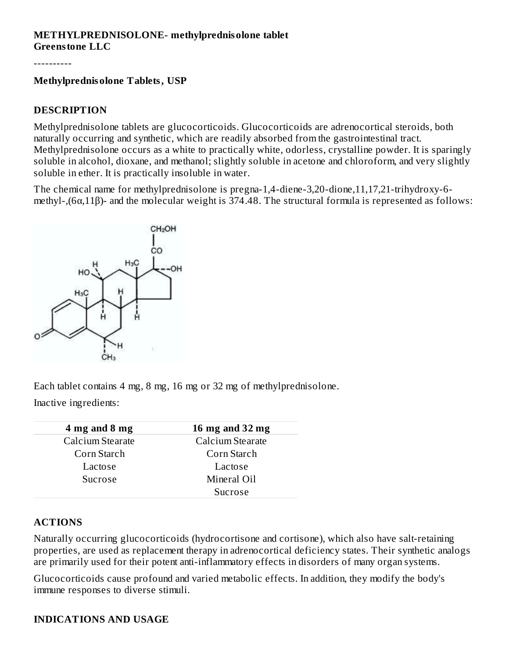#### **METHYLPREDNISOLONE- methylprednisolone tablet Greenstone LLC**

----------

#### **Methylprednisolone Tablets, USP**

#### **DESCRIPTION**

Methylprednisolone tablets are glucocorticoids. Glucocorticoids are adrenocortical steroids, both naturally occurring and synthetic, which are readily absorbed from the gastrointestinal tract. Methylprednisolone occurs as a white to practically white, odorless, crystalline powder. It is sparingly soluble in alcohol, dioxane, and methanol; slightly soluble in acetone and chloroform, and very slightly soluble in ether. It is practically insoluble in water.

The chemical name for methylprednisolone is pregna-1,4-diene-3,20-dione,11,17,21-trihydroxy-6 methyl-,(6α,11β)- and the molecular weight is 374.48. The structural formula is represented as follows:



Each tablet contains 4 mg, 8 mg, 16 mg or 32 mg of methylprednisolone.

Inactive ingredients:

| 4 mg and 8 mg    | 16 mg and 32 mg  |
|------------------|------------------|
| Calcium Stearate | Calcium Stearate |
| Corn Starch      | Corn Starch      |
| Lactose          | Lactose          |
| Sucrose          | Mineral Oil      |
|                  | Sucrose          |

## **ACTIONS**

Naturally occurring glucocorticoids (hydrocortisone and cortisone), which also have salt-retaining properties, are used as replacement therapy in adrenocortical deficiency states. Their synthetic analogs are primarily used for their potent anti-inflammatory effects in disorders of many organ systems.

Glucocorticoids cause profound and varied metabolic effects. In addition, they modify the body's immune responses to diverse stimuli.

## **INDICATIONS AND USAGE**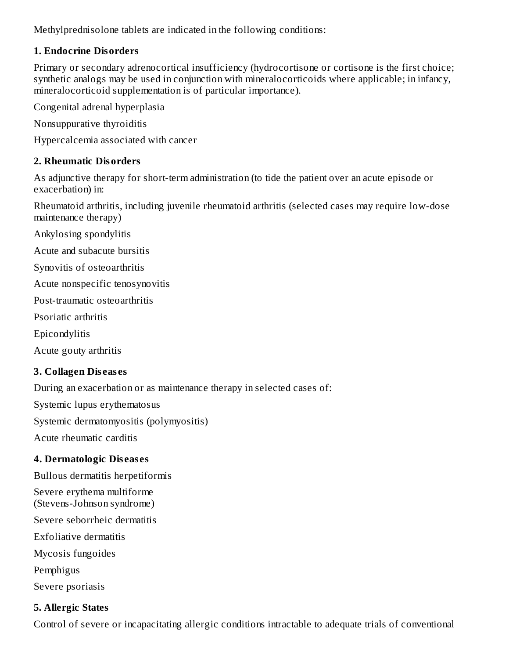Methylprednisolone tablets are indicated in the following conditions:

# **1. Endocrine Disorders**

Primary or secondary adrenocortical insufficiency (hydrocortisone or cortisone is the first choice; synthetic analogs may be used in conjunction with mineralocorticoids where applicable; in infancy, mineralocorticoid supplementation is of particular importance).

Congenital adrenal hyperplasia

Nonsuppurative thyroiditis

Hypercalcemia associated with cancer

# **2. Rheumatic Disorders**

As adjunctive therapy for short-term administration (to tide the patient over an acute episode or exacerbation) in:

Rheumatoid arthritis, including juvenile rheumatoid arthritis (selected cases may require low-dose maintenance therapy)

Ankylosing spondylitis

Acute and subacute bursitis

Synovitis of osteoarthritis

Acute nonspecific tenosynovitis

Post-traumatic osteoarthritis

Psoriatic arthritis

Epicondylitis

Acute gouty arthritis

# **3. Collagen Dis eas es**

During an exacerbation or as maintenance therapy in selected cases of:

Systemic lupus erythematosus

Systemic dermatomyositis (polymyositis)

Acute rheumatic carditis

# **4. Dermatologic Dis eas es**

Bullous dermatitis herpetiformis

Severe erythema multiforme (Stevens-Johnson syndrome)

Severe seborrheic dermatitis

Exfoliative dermatitis

Mycosis fungoides

Pemphigus

Severe psoriasis

# **5. Allergic States**

Control of severe or incapacitating allergic conditions intractable to adequate trials of conventional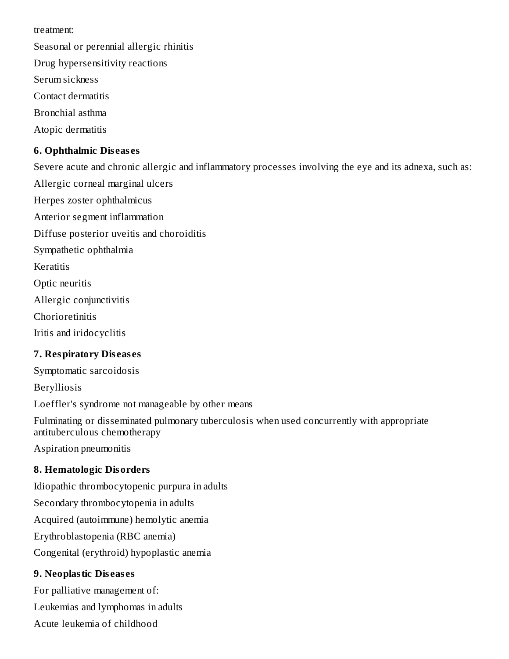treatment:

- Seasonal or perennial allergic rhinitis
- Drug hypersensitivity reactions
- Serum sickness
- Contact dermatitis
- Bronchial asthma
- Atopic dermatitis

## **6. Ophthalmic Dis eas es**

Severe acute and chronic allergic and inflammatory processes involving the eye and its adnexa, such as:

- Allergic corneal marginal ulcers
- Herpes zoster ophthalmicus
- Anterior segment inflammation
- Diffuse posterior uveitis and choroiditis
- Sympathetic ophthalmia
- **Keratitis**
- Optic neuritis
- Allergic conjunctivitis
- **Chorioretinitis**
- Iritis and iridocyclitis

# **7. Respiratory Dis eas es**

- Symptomatic sarcoidosis Berylliosis
- Loeffler's syndrome not manageable by other means
- Fulminating or disseminated pulmonary tuberculosis when used concurrently with appropriate antituberculous chemotherapy
- Aspiration pneumonitis

# **8. Hematologic Disorders**

Idiopathic thrombocytopenic purpura in adults Secondary thrombocytopenia in adults Acquired (autoimmune) hemolytic anemia Erythroblastopenia (RBC anemia) Congenital (erythroid) hypoplastic anemia

# **9. Neoplastic Dis eas es**

For palliative management of: Leukemias and lymphomas in adults Acute leukemia of childhood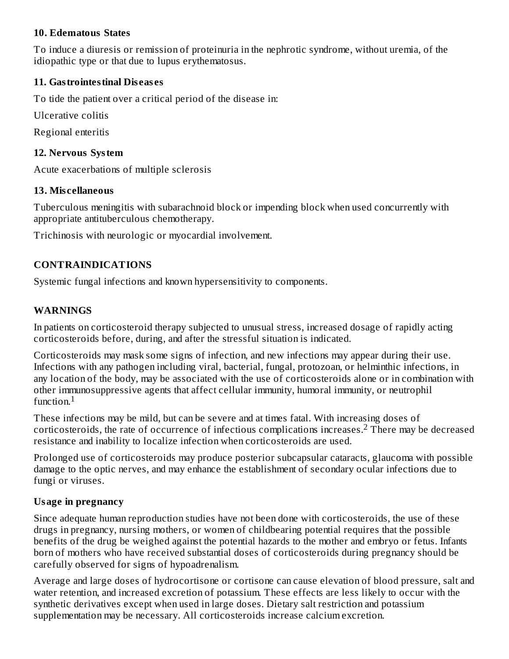#### **10. Edematous States**

To induce a diuresis or remission of proteinuria in the nephrotic syndrome, without uremia, of the idiopathic type or that due to lupus erythematosus.

## **11. Gastrointestinal Dis eas es**

To tide the patient over a critical period of the disease in:

Ulcerative colitis

Regional enteritis

# **12. Nervous System**

Acute exacerbations of multiple sclerosis

# **13. Mis cellaneous**

Tuberculous meningitis with subarachnoid block or impending block when used concurrently with appropriate antituberculous chemotherapy.

Trichinosis with neurologic or myocardial involvement.

# **CONTRAINDICATIONS**

Systemic fungal infections and known hypersensitivity to components.

# **WARNINGS**

In patients on corticosteroid therapy subjected to unusual stress, increased dosage of rapidly acting corticosteroids before, during, and after the stressful situation is indicated.

Corticosteroids may mask some signs of infection, and new infections may appear during their use. Infections with any pathogen including viral, bacterial, fungal, protozoan, or helminthic infections, in any location of the body, may be associated with the use of corticosteroids alone or in combination with other immunosuppressive agents that affect cellular immunity, humoral immunity, or neutrophil function.<sup>1</sup>

These infections may be mild, but can be severe and at times fatal. With increasing doses of corticosteroids, the rate of occurrence of infectious complications increases.<sup>2</sup> There may be decreased resistance and inability to localize infection when corticosteroids are used.

Prolonged use of corticosteroids may produce posterior subcapsular cataracts, glaucoma with possible damage to the optic nerves, and may enhance the establishment of secondary ocular infections due to fungi or viruses.

# **Usage in pregnancy**

Since adequate human reproduction studies have not been done with corticosteroids, the use of these drugs in pregnancy, nursing mothers, or women of childbearing potential requires that the possible benefits of the drug be weighed against the potential hazards to the mother and embryo or fetus. Infants born of mothers who have received substantial doses of corticosteroids during pregnancy should be carefully observed for signs of hypoadrenalism.

Average and large doses of hydrocortisone or cortisone can cause elevation of blood pressure, salt and water retention, and increased excretion of potassium. These effects are less likely to occur with the synthetic derivatives except when used in large doses. Dietary salt restriction and potassium supplementation may be necessary. All corticosteroids increase calcium excretion.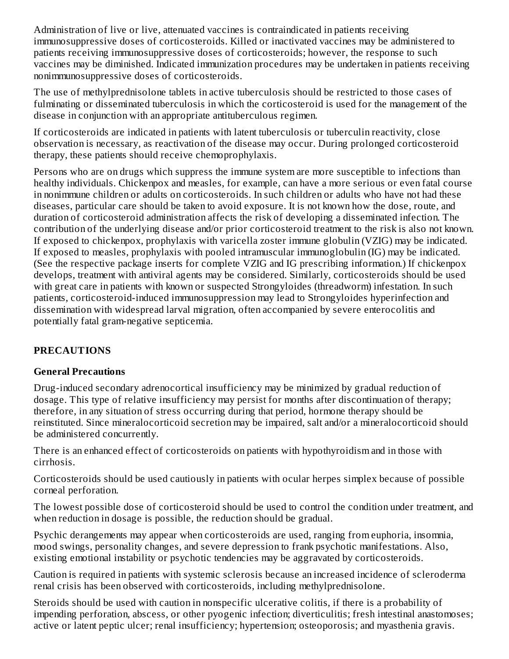Administration of live or live, attenuated vaccines is contraindicated in patients receiving immunosuppressive doses of corticosteroids. Killed or inactivated vaccines may be administered to patients receiving immunosuppressive doses of corticosteroids; however, the response to such vaccines may be diminished. Indicated immunization procedures may be undertaken in patients receiving nonimmunosuppressive doses of corticosteroids.

The use of methylprednisolone tablets in active tuberculosis should be restricted to those cases of fulminating or disseminated tuberculosis in which the corticosteroid is used for the management of the disease in conjunction with an appropriate antituberculous regimen.

If corticosteroids are indicated in patients with latent tuberculosis or tuberculin reactivity, close observation is necessary, as reactivation of the disease may occur. During prolonged corticosteroid therapy, these patients should receive chemoprophylaxis.

Persons who are on drugs which suppress the immune system are more susceptible to infections than healthy individuals. Chickenpox and measles, for example, can have a more serious or even fatal course in nonimmune children or adults on corticosteroids. In such children or adults who have not had these diseases, particular care should be taken to avoid exposure. It is not known how the dose, route, and duration of corticosteroid administration affects the risk of developing a disseminated infection. The contribution of the underlying disease and/or prior corticosteroid treatment to the risk is also not known. If exposed to chickenpox, prophylaxis with varicella zoster immune globulin (VZIG) may be indicated. If exposed to measles, prophylaxis with pooled intramuscular immunoglobulin (IG) may be indicated. (See the respective package inserts for complete VZIG and IG prescribing information.) If chickenpox develops, treatment with antiviral agents may be considered. Similarly, corticosteroids should be used with great care in patients with known or suspected Strongyloides (threadworm) infestation. In such patients, corticosteroid-induced immunosuppression may lead to Strongyloides hyperinfection and dissemination with widespread larval migration, often accompanied by severe enterocolitis and potentially fatal gram-negative septicemia.

# **PRECAUTIONS**

## **General Precautions**

Drug-induced secondary adrenocortical insufficiency may be minimized by gradual reduction of dosage. This type of relative insufficiency may persist for months after discontinuation of therapy; therefore, in any situation of stress occurring during that period, hormone therapy should be reinstituted. Since mineralocorticoid secretion may be impaired, salt and/or a mineralocorticoid should be administered concurrently.

There is an enhanced effect of corticosteroids on patients with hypothyroidism and in those with cirrhosis.

Corticosteroids should be used cautiously in patients with ocular herpes simplex because of possible corneal perforation.

The lowest possible dose of corticosteroid should be used to control the condition under treatment, and when reduction in dosage is possible, the reduction should be gradual.

Psychic derangements may appear when corticosteroids are used, ranging from euphoria, insomnia, mood swings, personality changes, and severe depression to frank psychotic manifestations. Also, existing emotional instability or psychotic tendencies may be aggravated by corticosteroids.

Caution is required in patients with systemic sclerosis because an increased incidence of scleroderma renal crisis has been observed with corticosteroids, including methylprednisolone.

Steroids should be used with caution in nonspecific ulcerative colitis, if there is a probability of impending perforation, abscess, or other pyogenic infection; diverticulitis; fresh intestinal anastomoses; active or latent peptic ulcer; renal insufficiency; hypertension; osteoporosis; and myasthenia gravis.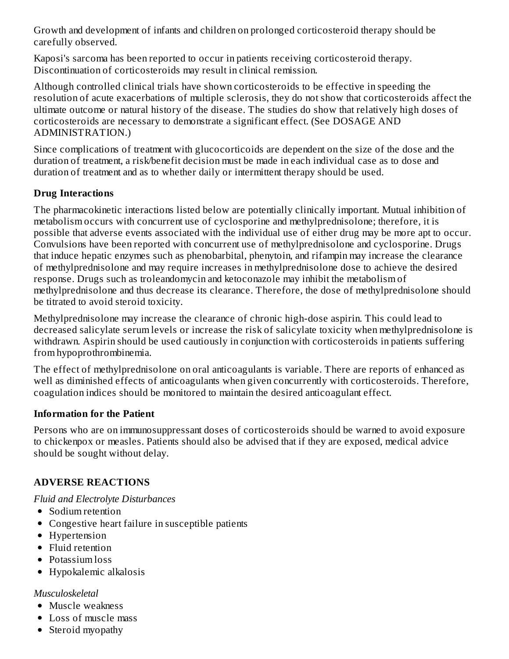Growth and development of infants and children on prolonged corticosteroid therapy should be carefully observed.

Kaposi's sarcoma has been reported to occur in patients receiving corticosteroid therapy. Discontinuation of corticosteroids may result in clinical remission.

Although controlled clinical trials have shown corticosteroids to be effective in speeding the resolution of acute exacerbations of multiple sclerosis, they do not show that corticosteroids affect the ultimate outcome or natural history of the disease. The studies do show that relatively high doses of corticosteroids are necessary to demonstrate a significant effect. (See DOSAGE AND ADMINISTRATION.)

Since complications of treatment with glucocorticoids are dependent on the size of the dose and the duration of treatment, a risk/benefit decision must be made in each individual case as to dose and duration of treatment and as to whether daily or intermittent therapy should be used.

# **Drug Interactions**

The pharmacokinetic interactions listed below are potentially clinically important. Mutual inhibition of metabolism occurs with concurrent use of cyclosporine and methylprednisolone; therefore, it is possible that adverse events associated with the individual use of either drug may be more apt to occur. Convulsions have been reported with concurrent use of methylprednisolone and cyclosporine. Drugs that induce hepatic enzymes such as phenobarbital, phenytoin, and rifampin may increase the clearance of methylprednisolone and may require increases in methylprednisolone dose to achieve the desired response. Drugs such as troleandomycin and ketoconazole may inhibit the metabolism of methylprednisolone and thus decrease its clearance. Therefore, the dose of methylprednisolone should be titrated to avoid steroid toxicity.

Methylprednisolone may increase the clearance of chronic high-dose aspirin. This could lead to decreased salicylate serum levels or increase the risk of salicylate toxicity when methylprednisolone is withdrawn. Aspirin should be used cautiously in conjunction with corticosteroids in patients suffering from hypoprothrombinemia.

The effect of methylprednisolone on oral anticoagulants is variable. There are reports of enhanced as well as diminished effects of anticoagulants when given concurrently with corticosteroids. Therefore, coagulation indices should be monitored to maintain the desired anticoagulant effect.

# **Information for the Patient**

Persons who are on immunosuppressant doses of corticosteroids should be warned to avoid exposure to chickenpox or measles. Patients should also be advised that if they are exposed, medical advice should be sought without delay.

# **ADVERSE REACTIONS**

*Fluid and Electrolyte Disturbances*

- Sodium retention
- Congestive heart failure in susceptible patients
- Hypertension
- Fluid retention
- Potassium loss
- Hypokalemic alkalosis

# *Musculoskeletal*

- Muscle weakness
- Loss of muscle mass
- Steroid myopathy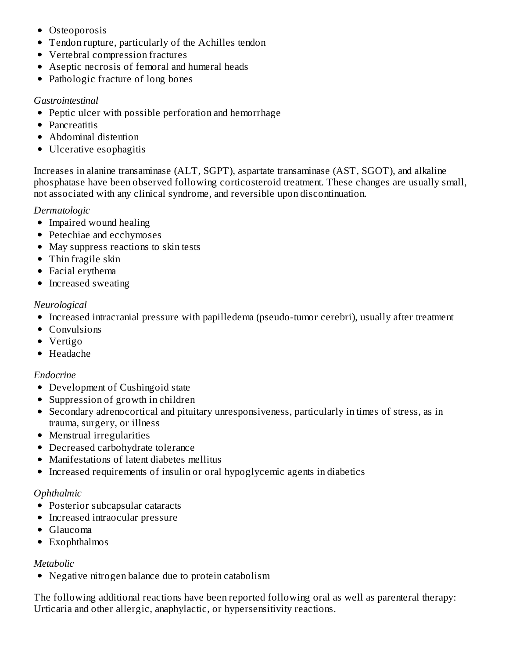- Osteoporosis
- Tendon rupture, particularly of the Achilles tendon
- Vertebral compression fractures
- Aseptic necrosis of femoral and humeral heads
- Pathologic fracture of long bones

#### *Gastrointestinal*

- Peptic ulcer with possible perforation and hemorrhage
- Pancreatitis
- Abdominal distention
- Ulcerative esophagitis

Increases in alanine transaminase (ALT, SGPT), aspartate transaminase (AST, SGOT), and alkaline phosphatase have been observed following corticosteroid treatment. These changes are usually small, not associated with any clinical syndrome, and reversible upon discontinuation.

#### *Dermatologic*

- Impaired wound healing
- Petechiae and ecchymoses
- May suppress reactions to skin tests
- Thin fragile skin
- Facial erythema
- Increased sweating

#### *Neurological*

- Increased intracranial pressure with papilledema (pseudo-tumor cerebri), usually after treatment
- Convulsions
- Vertigo
- Headache

## *Endocrine*

- Development of Cushingoid state
- Suppression of growth in children
- Secondary adrenocortical and pituitary unresponsiveness, particularly in times of stress, as in trauma, surgery, or illness
- Menstrual irregularities
- Decreased carbohydrate tolerance
- Manifestations of latent diabetes mellitus
- Increased requirements of insulin or oral hypoglycemic agents in diabetics

## *Ophthalmic*

- Posterior subcapsular cataracts
- Increased intraocular pressure
- $\bullet$  Glaucoma
- Exophthalmos

#### *Metabolic*

Negative nitrogen balance due to protein catabolism

The following additional reactions have been reported following oral as well as parenteral therapy: Urticaria and other allergic, anaphylactic, or hypersensitivity reactions.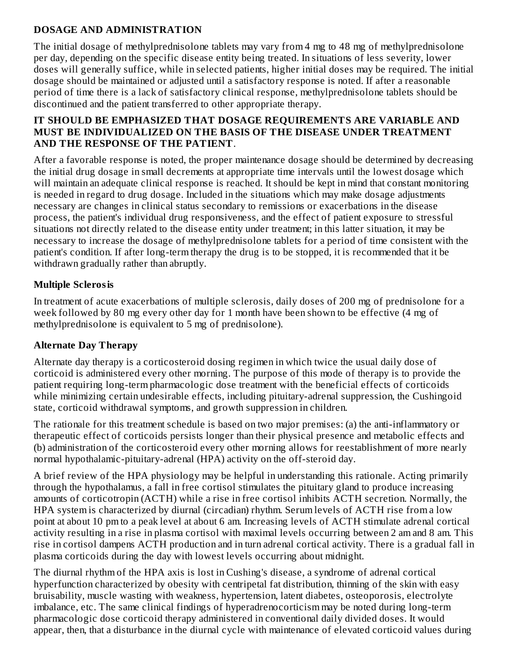## **DOSAGE AND ADMINISTRATION**

The initial dosage of methylprednisolone tablets may vary from 4 mg to 48 mg of methylprednisolone per day, depending on the specific disease entity being treated. In situations of less severity, lower doses will generally suffice, while in selected patients, higher initial doses may be required. The initial dosage should be maintained or adjusted until a satisfactory response is noted. If after a reasonable period of time there is a lack of satisfactory clinical response, methylprednisolone tablets should be discontinued and the patient transferred to other appropriate therapy.

## **IT SHOULD BE EMPHASIZED THAT DOSAGE REQUIREMENTS ARE VARIABLE AND MUST BE INDIVIDUALIZED ON THE BASIS OF THE DISEASE UNDER TREATMENT AND THE RESPONSE OF THE PATIENT**.

After a favorable response is noted, the proper maintenance dosage should be determined by decreasing the initial drug dosage in small decrements at appropriate time intervals until the lowest dosage which will maintain an adequate clinical response is reached. It should be kept in mind that constant monitoring is needed in regard to drug dosage. Included in the situations which may make dosage adjustments necessary are changes in clinical status secondary to remissions or exacerbations in the disease process, the patient's individual drug responsiveness, and the effect of patient exposure to stressful situations not directly related to the disease entity under treatment; in this latter situation, it may be necessary to increase the dosage of methylprednisolone tablets for a period of time consistent with the patient's condition. If after long-term therapy the drug is to be stopped, it is recommended that it be withdrawn gradually rather than abruptly.

# **Multiple Sclerosis**

In treatment of acute exacerbations of multiple sclerosis, daily doses of 200 mg of prednisolone for a week followed by 80 mg every other day for 1 month have been shown to be effective (4 mg of methylprednisolone is equivalent to 5 mg of prednisolone).

# **Alternate Day Therapy**

Alternate day therapy is a corticosteroid dosing regimen in which twice the usual daily dose of corticoid is administered every other morning. The purpose of this mode of therapy is to provide the patient requiring long-term pharmacologic dose treatment with the beneficial effects of corticoids while minimizing certain undesirable effects, including pituitary-adrenal suppression, the Cushingoid state, corticoid withdrawal symptoms, and growth suppression in children.

The rationale for this treatment schedule is based on two major premises: (a) the anti-inflammatory or therapeutic effect of corticoids persists longer than their physical presence and metabolic effects and (b) administration of the corticosteroid every other morning allows for reestablishment of more nearly normal hypothalamic-pituitary-adrenal (HPA) activity on the off-steroid day.

A brief review of the HPA physiology may be helpful in understanding this rationale. Acting primarily through the hypothalamus, a fall in free cortisol stimulates the pituitary gland to produce increasing amounts of corticotropin (ACTH) while a rise in free cortisol inhibits ACTH secretion. Normally, the HPA system is characterized by diurnal (circadian) rhythm. Serum levels of ACTH rise from a low point at about 10 pm to a peak level at about 6 am. Increasing levels of ACTH stimulate adrenal cortical activity resulting in a rise in plasma cortisol with maximal levels occurring between 2 am and 8 am. This rise in cortisol dampens ACTH production and in turn adrenal cortical activity. There is a gradual fall in plasma corticoids during the day with lowest levels occurring about midnight.

The diurnal rhythm of the HPA axis is lost in Cushing's disease, a syndrome of adrenal cortical hyperfunction characterized by obesity with centripetal fat distribution, thinning of the skin with easy bruisability, muscle wasting with weakness, hypertension, latent diabetes, osteoporosis, electrolyte imbalance, etc. The same clinical findings of hyperadrenocorticism may be noted during long-term pharmacologic dose corticoid therapy administered in conventional daily divided doses. It would appear, then, that a disturbance in the diurnal cycle with maintenance of elevated corticoid values during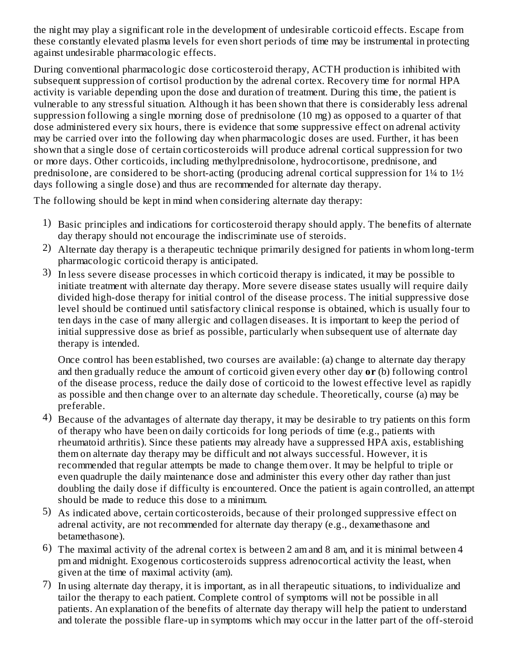the night may play a significant role in the development of undesirable corticoid effects. Escape from these constantly elevated plasma levels for even short periods of time may be instrumental in protecting against undesirable pharmacologic effects.

During conventional pharmacologic dose corticosteroid therapy, ACTH production is inhibited with subsequent suppression of cortisol production by the adrenal cortex. Recovery time for normal HPA activity is variable depending upon the dose and duration of treatment. During this time, the patient is vulnerable to any stressful situation. Although it has been shown that there is considerably less adrenal suppression following a single morning dose of prednisolone (10 mg) as opposed to a quarter of that dose administered every six hours, there is evidence that some suppressive effect on adrenal activity may be carried over into the following day when pharmacologic doses are used. Further, it has been shown that a single dose of certain corticosteroids will produce adrenal cortical suppression for two or more days. Other corticoids, including methylprednisolone, hydrocortisone, prednisone, and prednisolone, are considered to be short-acting (producing adrenal cortical suppression for 1¼ to 1½ days following a single dose) and thus are recommended for alternate day therapy.

The following should be kept in mind when considering alternate day therapy:

- 1) Basic principles and indications for corticosteroid therapy should apply. The benefits of alternate day therapy should not encourage the indiscriminate use of steroids.
- 2) Alternate day therapy is a therapeutic technique primarily designed for patients in whom long-term pharmacologic corticoid therapy is anticipated.
- 3) In less severe disease processes in which corticoid therapy is indicated, it may be possible to initiate treatment with alternate day therapy. More severe disease states usually will require daily divided high-dose therapy for initial control of the disease process. The initial suppressive dose level should be continued until satisfactory clinical response is obtained, which is usually four to ten days in the case of many allergic and collagen diseases. It is important to keep the period of initial suppressive dose as brief as possible, particularly when subsequent use of alternate day therapy is intended.

Once control has been established, two courses are available: (a) change to alternate day therapy and then gradually reduce the amount of corticoid given every other day **or** (b) following control of the disease process, reduce the daily dose of corticoid to the lowest effective level as rapidly as possible and then change over to an alternate day schedule. Theoretically, course (a) may be preferable.

- 4) Because of the advantages of alternate day therapy, it may be desirable to try patients on this form of therapy who have been on daily corticoids for long periods of time (e.g., patients with rheumatoid arthritis). Since these patients may already have a suppressed HPA axis, establishing them on alternate day therapy may be difficult and not always successful. However, it is recommended that regular attempts be made to change them over. It may be helpful to triple or even quadruple the daily maintenance dose and administer this every other day rather than just doubling the daily dose if difficulty is encountered. Once the patient is again controlled, an attempt should be made to reduce this dose to a minimum.
- 5) As indicated above, certain corticosteroids, because of their prolonged suppressive effect on adrenal activity, are not recommended for alternate day therapy (e.g., dexamethasone and betamethasone).
- 6) The maximal activity of the adrenal cortex is between 2 am and 8 am, and it is minimal between 4 pm and midnight. Exogenous corticosteroids suppress adrenocortical activity the least, when given at the time of maximal activity (am).
- 7) In using alternate day therapy, it is important, as in all therapeutic situations, to individualize and tailor the therapy to each patient. Complete control of symptoms will not be possible in all patients. An explanation of the benefits of alternate day therapy will help the patient to understand and tolerate the possible flare-up in symptoms which may occur in the latter part of the off-steroid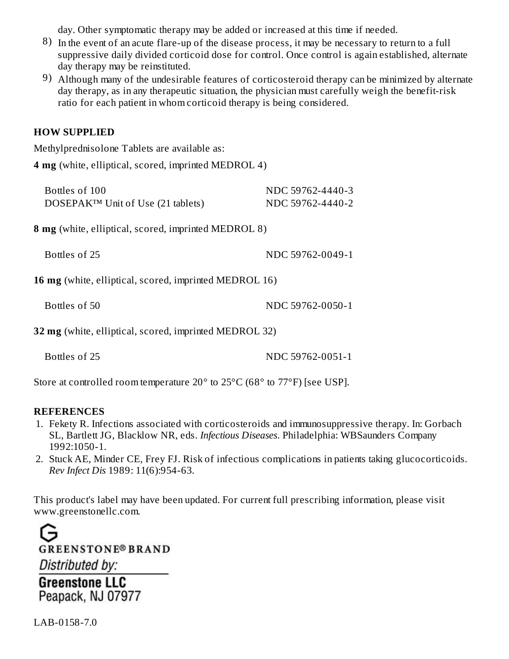day. Other symptomatic therapy may be added or increased at this time if needed.

- 8) In the event of an acute flare-up of the disease process, it may be necessary to return to a full suppressive daily divided corticoid dose for control. Once control is again established, alternate day therapy may be reinstituted.
- 9) Although many of the undesirable features of corticosteroid therapy can be minimized by alternate day therapy, as in any therapeutic situation, the physician must carefully weigh the benefit-risk ratio for each patient in whom corticoid therapy is being considered.

## **HOW SUPPLIED**

Methylprednisolone Tablets are available as:

**4 mg** (white, elliptical, scored, imprinted MEDROL 4)

| Bottles of 100                                | NDC 59762-4440-3 |
|-----------------------------------------------|------------------|
| DOSEPAK <sup>™</sup> Unit of Use (21 tablets) | NDC 59762-4440-2 |

**8 mg** (white, elliptical, scored, imprinted MEDROL 8)

Bottles of 25 NDC 59762-0049-1

**16 mg** (white, elliptical, scored, imprinted MEDROL 16)

Bottles of 50 NDC 59762-0050-1

**32 mg** (white, elliptical, scored, imprinted MEDROL 32)

Bottles of 25 NDC 59762-0051-1

Store at controlled room temperature 20° to 25°C (68° to 77°F) [see USP].

#### **REFERENCES**

- 1. Fekety R. Infections associated with corticosteroids and immunosuppressive therapy. In: Gorbach SL, Bartlett JG, Blacklow NR, eds. *Infectious Diseases*. Philadelphia: WBSaunders Company 1992:1050-1.
- 2. Stuck AE, Minder CE, Frey FJ. Risk of infectious complications in patients taking glucocorticoids. *Rev Infect Dis* 1989: 11(6):954-63.

This product's label may have been updated. For current full prescribing information, please visit www.greenstonellc.com.

**GREENSTONE® BRAND** Distributed by: **Greenstone LLC** Peapack, NJ 07977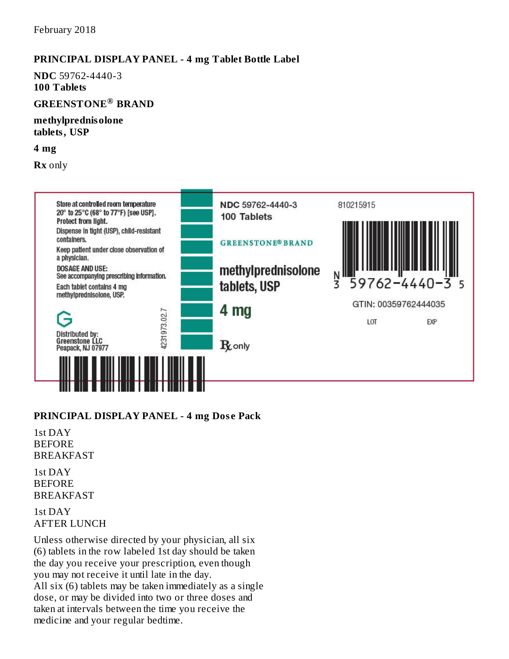# **PRINCIPAL DISPLAY PANEL - 4 mg Tablet Bottle Label**

**NDC** 59762-4440-3 **100 Tablets**

## **GREENSTONE BRAND ®**

#### **methylprednisolone tablets, USP**

#### **4 mg**

**Rx** only



# **PRINCIPAL DISPLAY PANEL - 4 mg Dos e Pack**

1st DAY **BEFORE** BREAKFAST

1st DAY **BEFORE** BREAKFAST

#### 1st DAY AFTER LUNCH

Unless otherwise directed by your physician, all six (6) tablets in the row labeled 1st day should be taken the day you receive your prescription, even though you may not receive it until late in the day. All six (6) tablets may be taken immediately as a single dose, or may be divided into two or three doses and taken at intervals between the time you receive the medicine and your regular bedtime.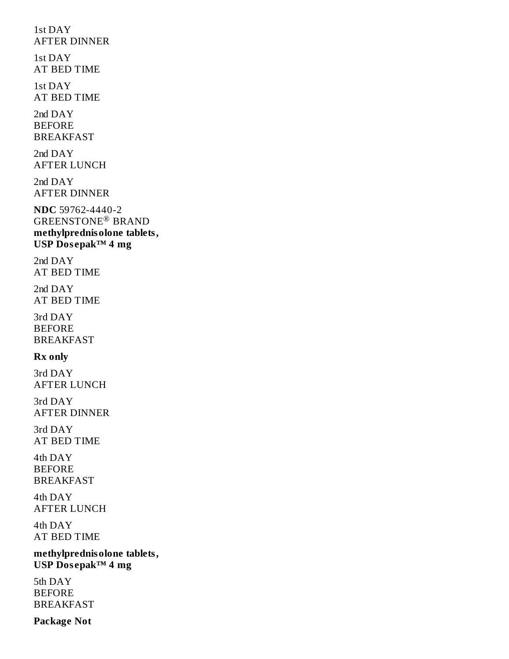1st DAY AFTER DINNER 1st DAY AT BED TIME

1st DAY AT BED TIME

2nd DAY BEFORE BREAKFAST

2nd DAY AFTER LUNCH

2nd DAY AFTER DINNER

**NDC** 59762-4440-2  $\mathsf{GREENSTONE}^\circledR$  BRAND **methylprednisolone tablets, USP Dos epak™ 4 mg**

2nd DAY AT BED TIME

2nd DAY AT BED TIME

3rd DAY BEFORE BREAKFAST

#### **Rx only**

3rd DAY AFTER LUNCH

3rd DAY AFTER DINNER

3rd DAY AT BED TIME

4th DAY BEFORE BREAKFAST

4th DAY AFTER LUNCH

4th DAY AT BED TIME

**methylprednisolone tablets, USP Dos epak™ 4 mg**

5th DAY BEFORE BREAKFAST

**Package Not**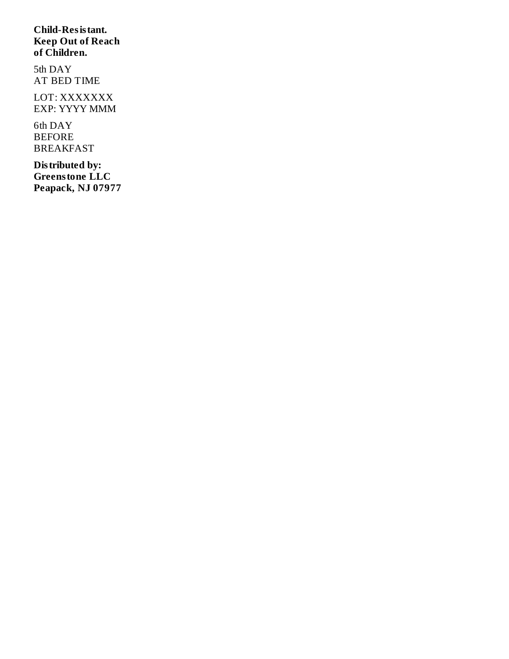#### **Child-Resistant. Keep Out of Reach of Children.**

5th DAY AT BED TIME

LOT: XXXXXXX EXP: YYYY MMM

6th DAY BEFORE BREAKFAST

**Distributed by: Greenstone LLC Peapack, NJ 07977**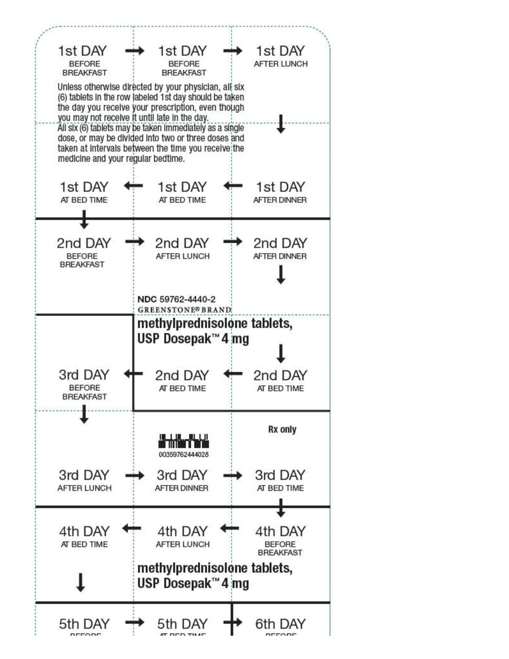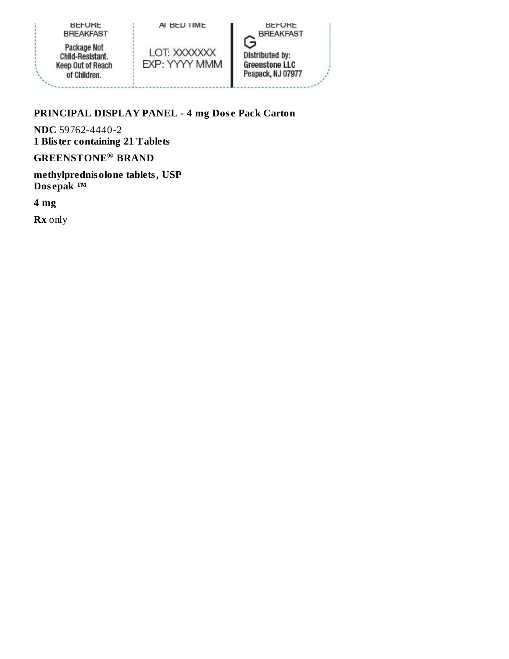

Package Not Child-Resistant. Keep Out of Reach of Children.

**BEFURE** 

**BREAKFAST** 

LOT: XXXXXXX EXP: YYYY MMM



## **PRINCIPAL DISPLAY PANEL - 4 mg Dos e Pack Carton**

**NDC** 59762-4440-2 **1 Blister containing 21 Tablets**

**GREENSTONE BRAND ®**

**methylprednisolone tablets, USP Dos epak ™**

**4 mg**

**Rx** only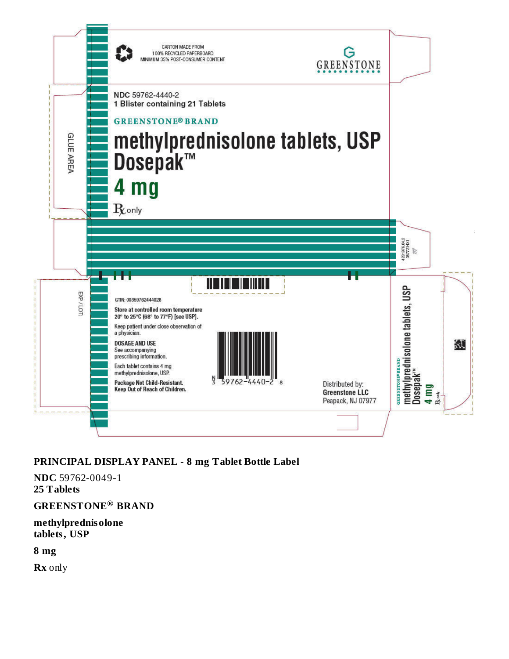

**PRINCIPAL DISPLAY PANEL - 8 mg Tablet Bottle Label**

**NDC** 59762-0049-1 **25 Tablets**

**GREENSTONE BRAND ®**

**methylprednisolone tablets, USP**

**8 mg**

**Rx** only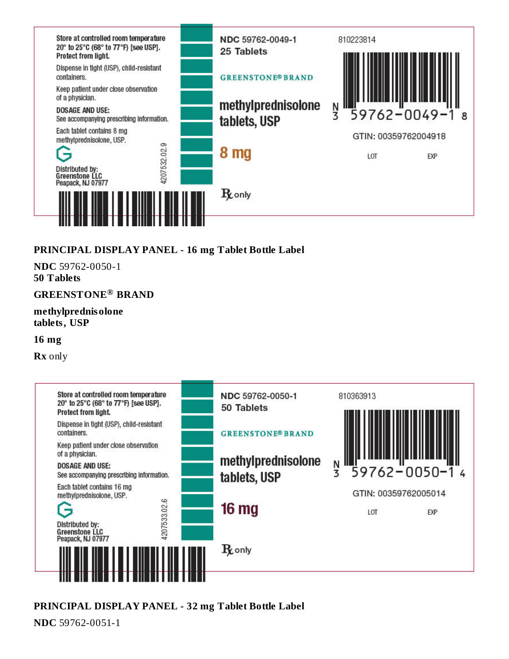

# **PRINCIPAL DISPLAY PANEL - 16 mg Tablet Bottle Label**

**NDC** 59762-0050-1 **50 Tablets**

## **GREENSTONE BRAND ®**

#### **methylprednisolone tablets, USP**

**16 mg**

**Rx** only



# **PRINCIPAL DISPLAY PANEL - 32 mg Tablet Bottle Label**

**NDC** 59762-0051-1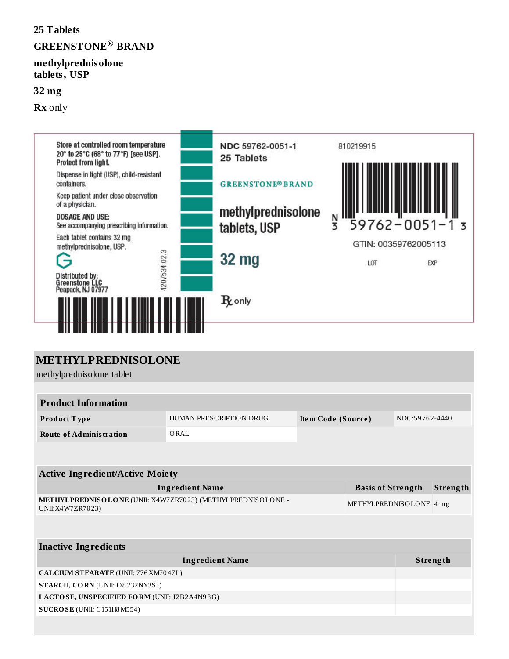#### **25 Tablets**

## **GREENSTONE BRAND ®**

#### **methylprednisolone tablets, USP**

#### **32 mg**

**Rx** only



| <b>METHYLPREDNISOLONE</b>                    |                                                             |                    |                          |                |          |
|----------------------------------------------|-------------------------------------------------------------|--------------------|--------------------------|----------------|----------|
| methylprednisolone tablet                    |                                                             |                    |                          |                |          |
|                                              |                                                             |                    |                          |                |          |
| <b>Product Information</b>                   |                                                             |                    |                          |                |          |
| Product Type                                 | HUMAN PRESCRIPTION DRUG                                     | Item Code (Source) |                          | NDC:59762-4440 |          |
| <b>Route of Administration</b>               | ORAL                                                        |                    |                          |                |          |
|                                              |                                                             |                    |                          |                |          |
|                                              |                                                             |                    |                          |                |          |
| <b>Active Ingredient/Active Moiety</b>       |                                                             |                    |                          |                |          |
|                                              | <b>Ingredient Name</b>                                      |                    | <b>Basis of Strength</b> |                | Strength |
| UNII:X4W7ZR7023)                             | METHYLPREDNISOLONE (UNII: X4W7ZR7023) (METHYLPREDNISOLONE - |                    | METHYLPREDNISOLONE 4 mg  |                |          |
|                                              |                                                             |                    |                          |                |          |
| <b>Inactive Ingredients</b>                  |                                                             |                    |                          |                |          |
|                                              |                                                             |                    |                          |                |          |
|                                              | <b>Ingredient Name</b>                                      |                    |                          |                | Strength |
| CALCIUM STEARATE (UNII: 776 XM70 47L)        |                                                             |                    |                          |                |          |
| STARCH, CORN (UNII: O8232NY3SJ)              |                                                             |                    |                          |                |          |
| LACTOSE, UNSPECIFIED FORM (UNII: J2B2A4N98G) |                                                             |                    |                          |                |          |
| SUCROSE (UNII: C151H8M554)                   |                                                             |                    |                          |                |          |
|                                              |                                                             |                    |                          |                |          |
|                                              |                                                             |                    |                          |                |          |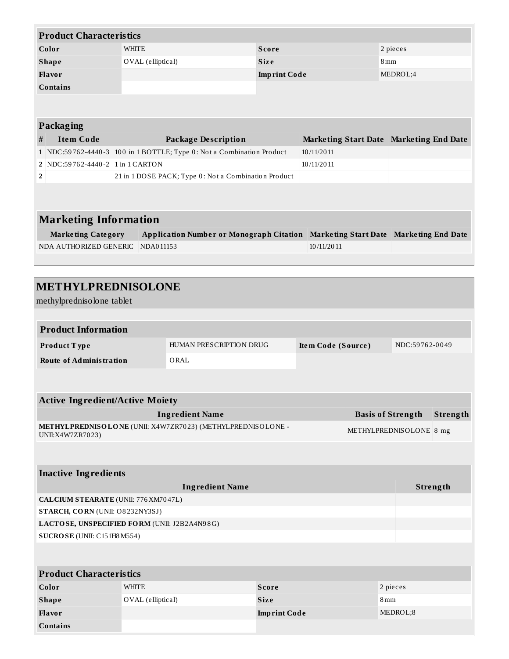| <b>WHITE</b><br>2 pieces<br>Color<br>Score |                                                        |  |                                                                       |                     |            |                                         |
|--------------------------------------------|--------------------------------------------------------|--|-----------------------------------------------------------------------|---------------------|------------|-----------------------------------------|
|                                            |                                                        |  |                                                                       |                     |            |                                         |
|                                            | <b>Shape</b>                                           |  | OVAL (elliptical)                                                     | <b>Size</b>         |            | 8mm                                     |
|                                            | Flavor                                                 |  |                                                                       | <b>Imprint Code</b> |            | MEDROL;4                                |
|                                            | Contains                                               |  |                                                                       |                     |            |                                         |
|                                            |                                                        |  |                                                                       |                     |            |                                         |
|                                            |                                                        |  |                                                                       |                     |            |                                         |
|                                            | Packaging                                              |  |                                                                       |                     |            |                                         |
| $\#$                                       | <b>Item Code</b>                                       |  | <b>Package Description</b>                                            |                     |            | Marketing Start Date Marketing End Date |
|                                            |                                                        |  | 1 NDC:59762-4440-3 100 in 1 BOTTLE; Type 0: Not a Combination Product |                     | 10/11/2011 |                                         |
|                                            | 2 NDC:59762-4440-2 1 in 1 CARTON                       |  |                                                                       |                     | 10/11/2011 |                                         |
| 2                                          |                                                        |  | 21 in 1 DOSE PACK; Type 0: Not a Combination Product                  |                     |            |                                         |
|                                            |                                                        |  |                                                                       |                     |            |                                         |
|                                            |                                                        |  |                                                                       |                     |            |                                         |
|                                            |                                                        |  |                                                                       |                     |            |                                         |
| <b>Marketing Information</b>               |                                                        |  |                                                                       |                     |            |                                         |
|                                            | <b>Marketing Category</b>                              |  | <b>Application Number or Monograph Citation</b>                       |                     |            | Marketing Start Date Marketing End Date |
|                                            | NDA AUTHORIZED GENERIC NDA011153                       |  |                                                                       |                     | 10/11/2011 |                                         |
|                                            |                                                        |  |                                                                       |                     |            |                                         |
|                                            |                                                        |  |                                                                       |                     |            |                                         |
|                                            |                                                        |  |                                                                       |                     |            |                                         |
|                                            |                                                        |  |                                                                       |                     |            |                                         |
|                                            | <b>METHYLPREDNISOLONE</b><br>methylprednisolone tablet |  |                                                                       |                     |            |                                         |

| <b>Product Information</b> |                         |                    |                |  |
|----------------------------|-------------------------|--------------------|----------------|--|
| Product Type               | HUMAN PRESCRIPTION DRUG | Item Code (Source) | NDC:59762-0049 |  |
| Route of Administration    | ORAL                    |                    |                |  |

| <b>Active Ingredient/Active Moiety</b>                                                                     |                                              |                     |                 |                          |          |
|------------------------------------------------------------------------------------------------------------|----------------------------------------------|---------------------|-----------------|--------------------------|----------|
|                                                                                                            | <b>Ingredient Name</b>                       |                     |                 | <b>Basis of Strength</b> | Strength |
| METHYLPREDNISOLONE (UNII: X4W7ZR7023) (METHYLPREDNISOLONE -<br>METHYLPREDNISOLONE 8 mg<br>UNII:X4W7ZR7023) |                                              |                     |                 |                          |          |
|                                                                                                            |                                              |                     |                 |                          |          |
| <b>Inactive Ingredients</b>                                                                                |                                              |                     |                 |                          |          |
|                                                                                                            | <b>Ingredient Name</b>                       |                     |                 |                          | Strength |
| CALCIUM STEARATE (UNII: 776 XM70 47L)                                                                      |                                              |                     |                 |                          |          |
| STARCH, CORN (UNII: O8232NY3SJ)                                                                            |                                              |                     |                 |                          |          |
|                                                                                                            | LACTOSE, UNSPECIFIED FORM (UNII: J2B2A4N98G) |                     |                 |                          |          |
| SUCROSE (UNII: C151H8M554)                                                                                 |                                              |                     |                 |                          |          |
|                                                                                                            |                                              |                     |                 |                          |          |
| <b>Product Characteristics</b>                                                                             |                                              |                     |                 |                          |          |
| Color                                                                                                      | <b>WHITE</b>                                 | <b>Score</b>        |                 | 2 pieces                 |          |
| <b>Shape</b>                                                                                               | OVAL (elliptical)                            | <b>Size</b>         | 8 <sub>mm</sub> |                          |          |
| <b>Flavor</b>                                                                                              |                                              | <b>Imprint Code</b> |                 | MEDROL;8                 |          |
| Contains                                                                                                   |                                              |                     |                 |                          |          |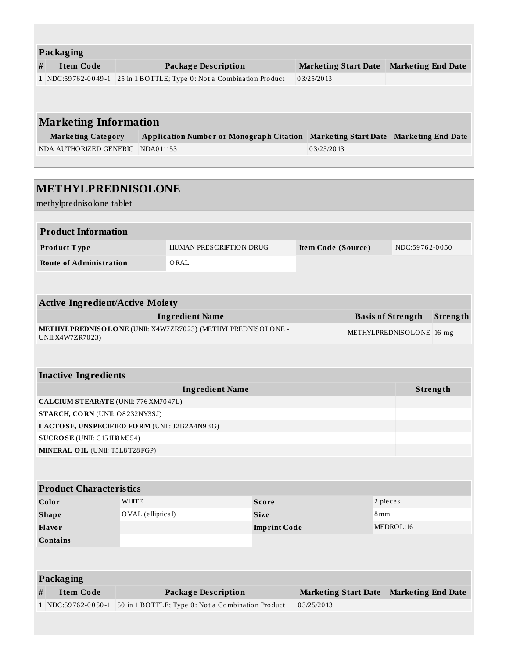|   | Packaging                    |           |                                                                      |                             |                                         |
|---|------------------------------|-----------|----------------------------------------------------------------------|-----------------------------|-----------------------------------------|
| # | <b>Item Code</b>             |           | Package Description                                                  | <b>Marketing Start Date</b> | <b>Marketing End Date</b>               |
|   |                              |           | 1 NDC:59762-0049-1 25 in 1 BOTTLE; Type 0: Not a Combination Product | 03/25/2013                  |                                         |
|   |                              |           |                                                                      |                             |                                         |
|   |                              |           |                                                                      |                             |                                         |
|   | <b>Marketing Information</b> |           |                                                                      |                             |                                         |
|   | <b>Marketing Category</b>    |           | <b>Application Number or Monograph Citation</b>                      |                             | Marketing Start Date Marketing End Date |
|   | NDA AUTHORIZED GENERIC       | NDA011153 |                                                                      | 03/25/2013                  |                                         |
|   |                              |           |                                                                      |                             |                                         |
|   |                              |           |                                                                      |                             |                                         |

| METHYLPREDNISOLONE                           |                            |                                                                      |                     |                             |                          |           |                           |          |
|----------------------------------------------|----------------------------|----------------------------------------------------------------------|---------------------|-----------------------------|--------------------------|-----------|---------------------------|----------|
| methylprednisolone tablet                    |                            |                                                                      |                     |                             |                          |           |                           |          |
| <b>Product Information</b>                   |                            |                                                                      |                     |                             |                          |           |                           |          |
| Product Type                                 |                            | HUMAN PRESCRIPTION DRUG                                              |                     | Item Code (Source)          |                          |           | NDC:59762-0050            |          |
| <b>Route of Administration</b>               |                            | ORAL                                                                 |                     |                             |                          |           |                           |          |
|                                              |                            |                                                                      |                     |                             |                          |           |                           |          |
| <b>Active Ingredient/Active Moiety</b>       |                            |                                                                      |                     |                             |                          |           |                           |          |
|                                              |                            | <b>Ingredient Name</b>                                               |                     |                             | <b>Basis of Strength</b> |           |                           | Strength |
| UNII:X4W7ZR7023)                             |                            | METHYLPREDNISOLONE (UNII: X4W7ZR7023) (METHYLPREDNISOLONE -          |                     |                             |                          |           | METHYLPREDNISOLONE 16 mg  |          |
|                                              |                            |                                                                      |                     |                             |                          |           |                           |          |
| <b>Inactive Ingredients</b>                  |                            |                                                                      |                     |                             |                          |           |                           |          |
|                                              |                            | <b>Ingredient Name</b>                                               |                     |                             |                          |           |                           | Strength |
| <b>CALCIUM STEARATE (UNII: 776 XM70 47L)</b> |                            |                                                                      |                     |                             |                          |           |                           |          |
| STARCH, CORN (UNII: O8232NY3SJ)              |                            |                                                                      |                     |                             |                          |           |                           |          |
| LACTOSE, UNSPECIFIED FORM (UNII: J2B2A4N98G) |                            |                                                                      |                     |                             |                          |           |                           |          |
| SUCROSE (UNII: C151H8 M554)                  |                            |                                                                      |                     |                             |                          |           |                           |          |
| <b>MINERAL OIL (UNII: T5L8T28FGP)</b>        |                            |                                                                      |                     |                             |                          |           |                           |          |
|                                              |                            |                                                                      |                     |                             |                          |           |                           |          |
| <b>Product Characteristics</b>               |                            |                                                                      |                     |                             |                          |           |                           |          |
| Color                                        | <b>WHITE</b>               |                                                                      | <b>Score</b>        |                             |                          | 2 pieces  |                           |          |
| <b>Shape</b>                                 | OVAL (elliptical)          |                                                                      | <b>Size</b>         |                             |                          | 8mm       |                           |          |
| <b>Flavor</b>                                |                            |                                                                      | <b>Imprint Code</b> |                             |                          | MEDROL;16 |                           |          |
| <b>Contains</b>                              |                            |                                                                      |                     |                             |                          |           |                           |          |
|                                              |                            |                                                                      |                     |                             |                          |           |                           |          |
|                                              |                            |                                                                      |                     |                             |                          |           |                           |          |
| <b>Packaging</b>                             |                            |                                                                      |                     |                             |                          |           |                           |          |
| <b>Item Code</b><br>#                        | <b>Package Description</b> |                                                                      |                     | <b>Marketing Start Date</b> |                          |           | <b>Marketing End Date</b> |          |
|                                              |                            | 1 NDC:59762-0050-1 50 in 1 BOTTLE; Type 0: Not a Combination Product |                     | 03/25/2013                  |                          |           |                           |          |
|                                              |                            |                                                                      |                     |                             |                          |           |                           |          |
|                                              |                            |                                                                      |                     |                             |                          |           |                           |          |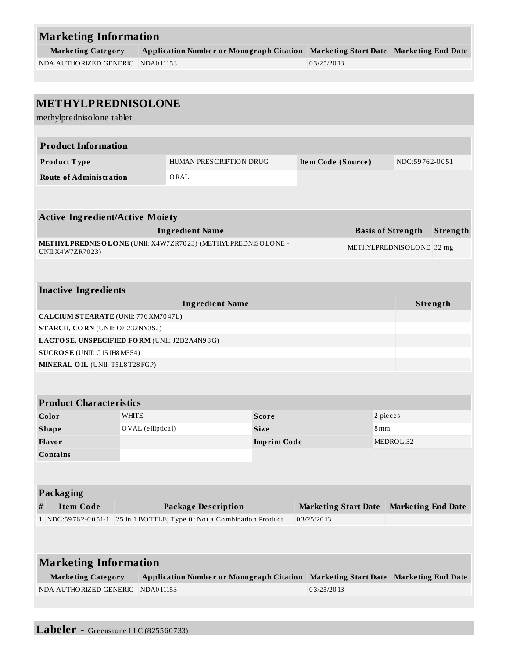| <b>Marketing Information</b>     |                                                                                  |             |  |
|----------------------------------|----------------------------------------------------------------------------------|-------------|--|
| <b>Marketing Category</b>        | Application Number or Monograph Citation Marketing Start Date Marketing End Date |             |  |
| NDA AUTHORIZED GENERIC NDA011153 |                                                                                  | 0.3/25/2013 |  |
|                                  |                                                                                  |             |  |
|                                  |                                                                                  |             |  |

| <b>METHYLPREDNISOLONE</b><br>methylprednisolone tablet |                              |                                                                                    |                     |                             |                 |                           |          |
|--------------------------------------------------------|------------------------------|------------------------------------------------------------------------------------|---------------------|-----------------------------|-----------------|---------------------------|----------|
|                                                        |                              |                                                                                    |                     |                             |                 |                           |          |
| <b>Product Information</b>                             |                              |                                                                                    |                     |                             |                 |                           |          |
|                                                        |                              | HUMAN PRESCRIPTION DRUG                                                            |                     |                             |                 | NDC:59762-0051            |          |
| Product Type                                           |                              |                                                                                    |                     | Item Code (Source)          |                 |                           |          |
| <b>Route of Administration</b>                         |                              | ORAL                                                                               |                     |                             |                 |                           |          |
|                                                        |                              |                                                                                    |                     |                             |                 |                           |          |
| <b>Active Ingredient/Active Moiety</b>                 |                              |                                                                                    |                     |                             |                 |                           |          |
|                                                        |                              | <b>Ingredient Name</b>                                                             |                     |                             |                 | <b>Basis of Strength</b>  | Strength |
| UNII:X4W7ZR7023)                                       |                              | METHYLPREDNISOLONE (UNII: X4W7ZR7023) (METHYLPREDNISOLONE -                        |                     |                             |                 | METHYLPREDNISOLONE 32 mg  |          |
|                                                        |                              |                                                                                    |                     |                             |                 |                           |          |
| <b>Inactive Ingredients</b>                            |                              |                                                                                    |                     |                             |                 |                           |          |
|                                                        |                              | <b>Ingredient Name</b>                                                             |                     |                             |                 |                           | Strength |
| CALCIUM STEARATE (UNII: 776 XM70 47L)                  |                              |                                                                                    |                     |                             |                 |                           |          |
| STARCH, CORN (UNII: O8232NY3SJ)                        |                              |                                                                                    |                     |                             |                 |                           |          |
| LACTOSE, UNSPECIFIED FORM (UNII: J2B2A4N98G)           |                              |                                                                                    |                     |                             |                 |                           |          |
| SUCROSE (UNII: C151H8 M554)                            |                              |                                                                                    |                     |                             |                 |                           |          |
| MINERAL OIL (UNII: T5L8T28FGP)                         |                              |                                                                                    |                     |                             |                 |                           |          |
|                                                        |                              |                                                                                    |                     |                             |                 |                           |          |
| <b>Product Characteristics</b>                         |                              |                                                                                    |                     |                             |                 |                           |          |
| Color                                                  | <b>WHITE</b>                 |                                                                                    | <b>Score</b>        |                             |                 | 2 pieces                  |          |
| <b>Shape</b>                                           | OVAL (elliptical)            |                                                                                    | <b>Size</b>         |                             | 8 <sub>mm</sub> |                           |          |
| Flavor                                                 |                              |                                                                                    | <b>Imprint Code</b> |                             |                 | MEDROL;32                 |          |
| <b>Contains</b>                                        |                              |                                                                                    |                     |                             |                 |                           |          |
|                                                        |                              |                                                                                    |                     |                             |                 |                           |          |
|                                                        |                              |                                                                                    |                     |                             |                 |                           |          |
| Packaging                                              |                              |                                                                                    |                     |                             |                 |                           |          |
| <b>Item Code</b><br>#                                  |                              | <b>Package Description</b>                                                         |                     | <b>Marketing Start Date</b> |                 | <b>Marketing End Date</b> |          |
|                                                        |                              | 1 NDC:59762-0051-1 25 in 1 BOTTLE; Type 0: Not a Combination Product<br>03/25/2013 |                     |                             |                 |                           |          |
|                                                        |                              |                                                                                    |                     |                             |                 |                           |          |
|                                                        | <b>Marketing Information</b> |                                                                                    |                     |                             |                 |                           |          |
| <b>Marketing Category</b>                              |                              | Application Number or Monograph Citation Marketing Start Date Marketing End Date   |                     |                             |                 |                           |          |
| NDA AUTHORIZED GENERIC                                 |                              | NDA011153                                                                          |                     | 03/25/2013                  |                 |                           |          |
|                                                        |                              |                                                                                    |                     |                             |                 |                           |          |